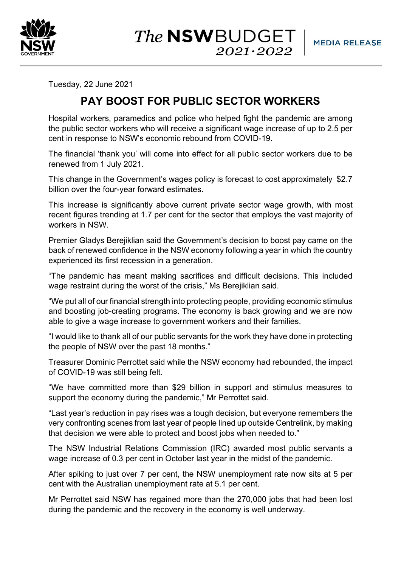

The **NSW**BUDGET  $2021 \cdot 2022$ 

Tuesday, 22 June 2021

## **PAY BOOST FOR PUBLIC SECTOR WORKERS**

Hospital workers, paramedics and police who helped fight the pandemic are among the public sector workers who will receive a significant wage increase of up to 2.5 per cent in response to NSW's economic rebound from COVID-19.

The financial 'thank you' will come into effect for all public sector workers due to be renewed from 1 July 2021.

This change in the Government's wages policy is forecast to cost approximately \$2.7 billion over the four-year forward estimates.

This increase is significantly above current private sector wage growth, with most recent figures trending at 1.7 per cent for the sector that employs the vast majority of workers in NSW.

Premier Gladys Berejiklian said the Government's decision to boost pay came on the back of renewed confidence in the NSW economy following a year in which the country experienced its first recession in a generation.

"The pandemic has meant making sacrifices and difficult decisions. This included wage restraint during the worst of the crisis," Ms Berejiklian said.

"We put all of our financial strength into protecting people, providing economic stimulus and boosting job-creating programs. The economy is back growing and we are now able to give a wage increase to government workers and their families.

"I would like to thank all of our public servants for the work they have done in protecting the people of NSW over the past 18 months."

Treasurer Dominic Perrottet said while the NSW economy had rebounded, the impact of COVID-19 was still being felt.

"We have committed more than \$29 billion in support and stimulus measures to support the economy during the pandemic," Mr Perrottet said.

"Last year's reduction in pay rises was a tough decision, but everyone remembers the very confronting scenes from last year of people lined up outside Centrelink, by making that decision we were able to protect and boost jobs when needed to."

The NSW Industrial Relations Commission (IRC) awarded most public servants a wage increase of 0.3 per cent in October last year in the midst of the pandemic.

After spiking to just over 7 per cent, the NSW unemployment rate now sits at 5 per cent with the Australian unemployment rate at 5.1 per cent.

Mr Perrottet said NSW has regained more than the 270,000 jobs that had been lost during the pandemic and the recovery in the economy is well underway.